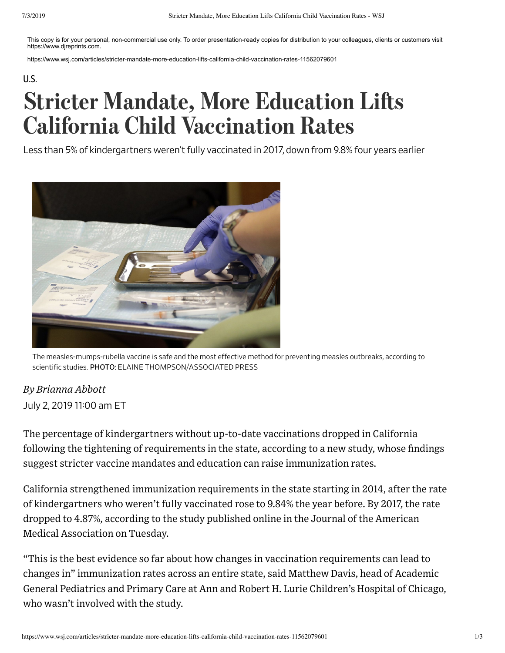This copy is for your personal, non-commercial use only. To order presentation-ready copies for distribution to your colleagues, clients or customers visit https://www.djreprints.com.

https://www.wsj.com/articles/stricter-mandate-more-education-lifts-california-child-vaccination-rates-11562079601

## U.S. **Stricter Mandate, More Education Lifts** California Child Vaccination Rates

Less than 5% of kindergartners weren't fully vaccinated in 2017, down from 9.8% four years earlier



The measles-mumps-rubella vaccine is safe and the most effective method for preventing measles outbreaks, according to scientific studies. PHOTO: ELAINE THOMPSON/ASSOCIATED PRESS

## *By Brianna Abbott*

## July 2, 2019 11:00 am ET

The percentage of kindergartners without up-to-date vaccinations dropped in California following the tightening of requirements in the state, according to a new study, whose findings suggest stricter vaccine mandates and education can raise immunization rates.

California strengthened immunization requirements in the state starting in 2014, after the rate of kindergartners who weren't fully vaccinated rose to 9.84% the year before. By 2017, the rate dropped to 4.87%, according to the study published online in the Journal of the American Medical Association on Tuesday.

"This is the best evidence so far about how changes in vaccination requirements can lead to changes in" immunization rates across an entire state, said Matthew Davis, head of Academic General Pediatrics and Primary Care at Ann and Robert H. Lurie Children's Hospital of Chicago, who wasn't involved with the study.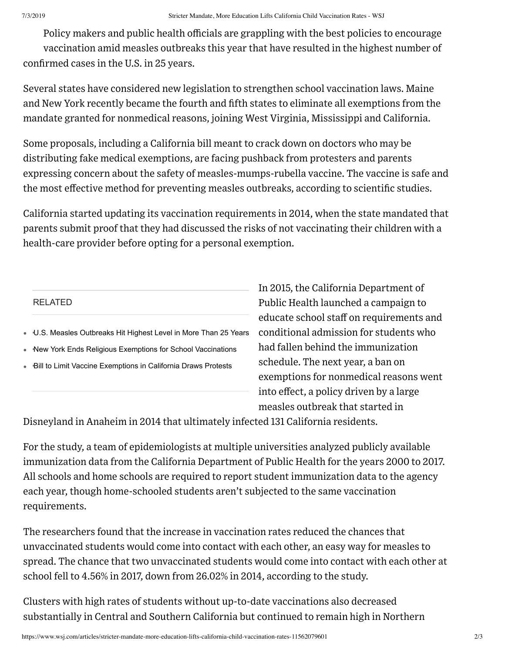Policy makers and public health officials are grappling with the best policies to encourage vaccination amid measles outbreaks this year that have resulted in the highest number of confirmed cases in the U.S. in 25 years.

Several states have considered new legislation to strengthen school vaccination laws. Maine and New York recently became the fourth and fifth states to eliminate all exemptions from the mandate granted for nonmedical reasons, joining West Virginia, Mississippi and California.

Some proposals, including a California bill meant to crack down on doctors who may be distributing fake medical exemptions, are facing pushback from protesters and parents expressing concern about the safety of measles-mumps-rubella vaccine. The vaccine is safe and the most effective method for preventing measles outbreaks, according to scientific studies.

California started updating its vaccination requirements in 2014, when the state mandated that parents submit proof that they had discussed the risks of not vaccinating their children with a health-care provider before opting for a personal exemption.

## RELATED

U.S. Measles Outbreaks Hit Highest Level in More Than 25 Years •

- New York Ends Religious Exemptions for School Vaccinations •
- Bill to Limit Vaccine Exemptions in California Draws Protests •

In 2015, the California Department of Public Health launched a campaign to educate school staff on requirements and conditional admission for students who had fallen behind the immunization schedule. The next year, a ban on exemptions for nonmedical reasons went into effect, a policy driven by a large measles outbreak that started in

Disneyland in Anaheim in 2014 that ultimately infected 131 California residents.

For the study, a team of epidemiologists at multiple universities analyzed publicly available immunization data from the California Department of Public Health for the years 2000 to 2017. All schools and home schools are required to report student immunization data to the agency each year, though home-schooled students aren't subjected to the same vaccination requirements.

The researchers found that the increase in vaccination rates reduced the chances that unvaccinated students would come into contact with each other, an easy way for measles to spread. The chance that two unvaccinated students would come into contact with each other at school fell to 4.56% in 2017, down from 26.02% in 2014, according to the study.

Clusters with high rates of students without up-to-date vaccinations also decreased substantially in Central and Southern California but continued to remain high in Northern